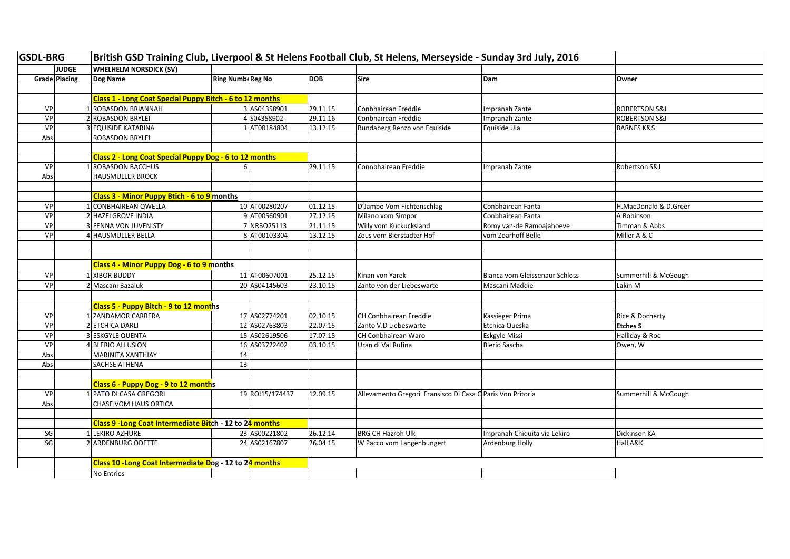| <b>GSDL-BRG</b> |                      | British GSD Training Club, Liverpool & St Helens Football Club, St Helens, Merseyside - Sunday 3rd July, 2016 |                          |                 |            |                                                            |                                |                          |
|-----------------|----------------------|---------------------------------------------------------------------------------------------------------------|--------------------------|-----------------|------------|------------------------------------------------------------|--------------------------------|--------------------------|
|                 | <b>JUDGE</b>         | <b>WHELHELM NORSDICK (SV)</b>                                                                                 |                          |                 |            |                                                            |                                |                          |
|                 | <b>Grade Placing</b> | Dog Name                                                                                                      | <b>Ring Numbe Reg No</b> |                 | <b>DOB</b> | <b>Sire</b>                                                | Dam                            | Owner                    |
|                 |                      |                                                                                                               |                          |                 |            |                                                            |                                |                          |
|                 |                      | Class 1 - Long Coat Special Puppy Bitch - 6 to 12 months                                                      |                          |                 |            |                                                            |                                |                          |
| VP              |                      | ROBASDON BRIANNAH                                                                                             |                          | 3 AS04358901    | 29.11.15   | Conbhairean Freddie                                        | Impranah Zante                 | <b>ROBERTSON S&amp;J</b> |
| <b>VP</b>       |                      | <b>ROBASDON BRYLEI</b>                                                                                        |                          | 4 S04358902     | 29.11.16   | Conbhairean Freddie                                        | mpranah Zante                  | ROBERTSON S&J            |
| VP              |                      | <b>EQUISIDE KATARINA</b>                                                                                      |                          | 1 AT00184804    | 13.12.15   | Bundaberg Renzo von Equiside                               | Equiside Ula                   | <b>BARNES K&amp;S</b>    |
| Abs             |                      | ROBASDON BRYLEI                                                                                               |                          |                 |            |                                                            |                                |                          |
|                 |                      |                                                                                                               |                          |                 |            |                                                            |                                |                          |
|                 |                      | Class 2 - Long Coat Special Puppy Dog - 6 to 12 months                                                        |                          |                 |            |                                                            |                                |                          |
| VP              |                      | ROBASDON BACCHUS                                                                                              |                          |                 | 29.11.15   | Connbhairean Freddie                                       | mpranah Zante                  | Robertson S&J            |
| Abs             |                      | HAUSMULLER BROCK                                                                                              |                          |                 |            |                                                            |                                |                          |
|                 |                      |                                                                                                               |                          |                 |            |                                                            |                                |                          |
|                 |                      | Class 3 - Minor Puppy Btich - 6 to 9 months                                                                   |                          |                 |            |                                                            |                                |                          |
| <b>VP</b>       |                      | CONBHAIREAN QWELLA                                                                                            |                          | 10 AT00280207   | 01.12.15   | D'Jambo Vom Fichtenschlag                                  | Conbhairean Fanta              | H.MacDonald & D.Greer    |
| VP              |                      | <b>HAZELGROVE INDIA</b>                                                                                       |                          | 9 AT00560901    | 27.12.15   | Milano vom Simpor                                          | Conbhairean Fanta              | A Robinson               |
| VP              |                      | FENNA VON JUVENISTY                                                                                           |                          | 7 NRBO25113     | 21.11.15   | Willy vom Kuckucksland                                     | Romy van-de Ramoajahoeve       | Timman & Abbs            |
| VP              |                      | HAUSMULLER BELLA                                                                                              |                          | 8 AT00103304    | 13.12.15   | Zeus vom Bierstadter Hof                                   | vom Zoarhoff Belle             | Miller A & C             |
|                 |                      |                                                                                                               |                          |                 |            |                                                            |                                |                          |
|                 |                      |                                                                                                               |                          |                 |            |                                                            |                                |                          |
|                 |                      | Class 4 - Minor Puppy Dog - 6 to 9 months                                                                     |                          |                 |            |                                                            |                                |                          |
| VP              |                      | <b>XIBOR BUDDY</b>                                                                                            |                          | 11 AT00607001   | 25.12.15   | Kinan von Yarek                                            | Bianca vom Gleissenaur Schloss | Summerhill & McGough     |
| VP              |                      | Mascani Bazaluk                                                                                               |                          | 20 AS04145603   | 23.10.15   | Zanto von der Liebeswarte                                  | Mascani Maddie                 | Lakin M                  |
|                 |                      |                                                                                                               |                          |                 |            |                                                            |                                |                          |
|                 |                      | Class 5 - Puppy Bitch - 9 to 12 months                                                                        |                          |                 |            |                                                            |                                |                          |
| <b>VP</b>       |                      | <b>ZANDAMOR CARRERA</b>                                                                                       |                          | 17 AS02774201   | 02.10.15   | CH Conbhairean Freddie                                     | Kassieger Prima                | Rice & Docherty          |
| <b>VP</b>       |                      | 2 ETCHICA DARLI                                                                                               |                          | 12 AS02763803   | 22.07.15   | Zanto V.D Liebeswarte                                      | Etchica Queska                 | <b>Etches S</b>          |
| <b>VP</b>       |                      | 3 ESKGYLE QUENTA                                                                                              |                          | 15 AS02619506   | 17.07.15   | CH Conbhairean Waro                                        | <b>Eskgyle Missi</b>           | Halliday & Roe           |
| VP              |                      | <b>BLERIO ALLUSION</b>                                                                                        |                          | 16 AS03722402   | 03.10.15   | Uran di Val Rufina                                         | <b>Blerio Sascha</b>           | Owen, W                  |
| Abs             |                      | <b>MARINITA XANTHIAY</b>                                                                                      | 14                       |                 |            |                                                            |                                |                          |
| Abs             |                      | SACHSE ATHENA                                                                                                 | 13                       |                 |            |                                                            |                                |                          |
|                 |                      |                                                                                                               |                          |                 |            |                                                            |                                |                          |
|                 |                      | Class 6 - Puppy Dog - 9 to 12 months                                                                          |                          |                 |            |                                                            |                                |                          |
| VP              |                      | PATO DI CASA GREGORI                                                                                          |                          | 19 ROI15/174437 | 12.09.15   | Allevamento Gregori Fransisco Di Casa G Paris Von Pritoria |                                | Summerhill & McGough     |
| Abs             |                      | CHASE VOM HAUS ORTICA                                                                                         |                          |                 |            |                                                            |                                |                          |
|                 |                      |                                                                                                               |                          |                 |            |                                                            |                                |                          |
|                 |                      | Class 9 -Long Coat Intermediate Bitch - 12 to 24 months                                                       |                          |                 |            |                                                            |                                |                          |
| SG              |                      | LEKIRO AZHURE                                                                                                 |                          | 23 AS00221802   | 26.12.14   | <b>BRG CH Hazroh Ulk</b>                                   | Impranah Chiquita via Lekiro   | Dickinson KA             |
| SG              |                      | 2 ARDENBURG ODETTE                                                                                            |                          | 24 AS02167807   | 26.04.15   | W Pacco vom Langenbungert                                  | <b>Ardenburg Holly</b>         | Hall A&K                 |
|                 |                      |                                                                                                               |                          |                 |            |                                                            |                                |                          |
|                 |                      | Class 10 - Long Coat Intermediate Dog - 12 to 24 months                                                       |                          |                 |            |                                                            |                                |                          |
|                 |                      | No Entries                                                                                                    |                          |                 |            |                                                            |                                |                          |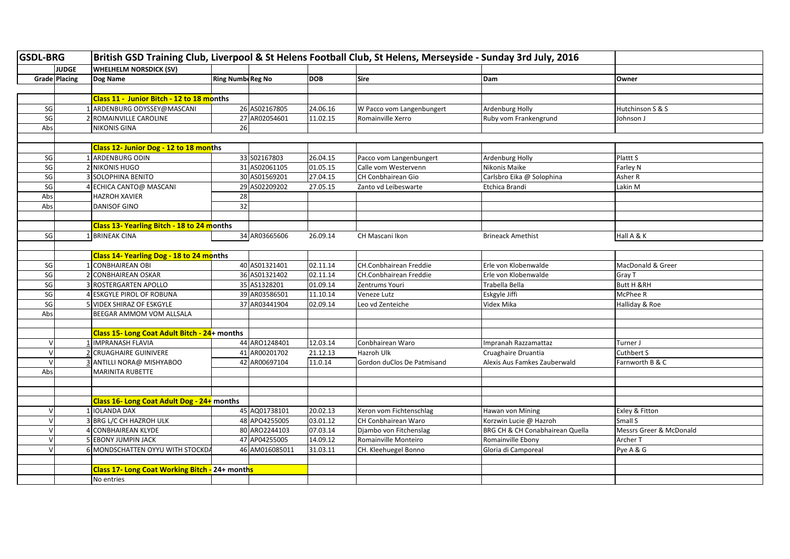| <b>GSDL-BRG</b> |               | British GSD Training Club, Liverpool & St Helens Football Club, St Helens, Merseyside - Sunday 3rd July, 2016 |                          |                |            |                               |                                 |                         |
|-----------------|---------------|---------------------------------------------------------------------------------------------------------------|--------------------------|----------------|------------|-------------------------------|---------------------------------|-------------------------|
|                 | <b>JUDGE</b>  | <b>WHELHELM NORSDICK (SV)</b>                                                                                 |                          |                |            |                               |                                 |                         |
|                 | Grade Placing | Dog Name                                                                                                      | <b>Ring Numbe Reg No</b> |                | <b>DOB</b> | <b>Sire</b>                   | Dam                             | Owner                   |
|                 |               |                                                                                                               |                          |                |            |                               |                                 |                         |
|                 |               | Class 11 - Junior Bitch - 12 to 18 months                                                                     |                          |                |            |                               |                                 |                         |
| SG              |               | 1 ARDENBURG ODYSSEY@MASCANI                                                                                   |                          | 26 AS02167805  | 24.06.16   | W Pacco vom Langenbungert     | Ardenburg Holly                 | Hutchinson S & S        |
| SG              |               | 2 ROMAINVILLE CAROLINE                                                                                        |                          | 27 AR02054601  | 11.02.15   | Romainville Xerro             | Ruby vom Frankengrund           | Johnson J               |
| Abs             |               | <b>NIKONIS GINA</b>                                                                                           | 26                       |                |            |                               |                                 |                         |
|                 |               |                                                                                                               |                          |                |            |                               |                                 |                         |
|                 |               | <b>Class 12- Junior Dog - 12 to 18 months</b>                                                                 |                          |                |            |                               |                                 |                         |
| SG              |               | 1 ARDENBURG ODIN                                                                                              |                          | 33 S02167803   | 26.04.15   | Pacco vom Langenbungert       | Ardenburg Holly                 | Plattt S                |
| SG              |               | 2 NIKONIS HUGO                                                                                                |                          | 31 AS02061105  | 01.05.15   | Calle vom Westervenn          | Nikonis Maike                   | Farley N                |
| SG              |               | 3 SOLOPHINA BENITO                                                                                            |                          | 30 AS01569201  | 27.04.15   | <b>CH Conbhairean Gio</b>     | Carlsbro Eika @ Solophina       | Asher R                 |
| SG              |               | ECHICA CANTO@ MASCANI                                                                                         |                          | 29 AS02209202  | 27.05.15   | Zanto vd Leibeswarte          | Etchica Brandi                  | Lakin M                 |
| Abs             |               | HAZROH XAVIER                                                                                                 | 28                       |                |            |                               |                                 |                         |
| Abs             |               | <b>DANISOF GINO</b>                                                                                           | 32                       |                |            |                               |                                 |                         |
|                 |               |                                                                                                               |                          |                |            |                               |                                 |                         |
|                 |               | Class 13- Yearling Bitch - 18 to 24 months                                                                    |                          |                |            |                               |                                 |                         |
| SG              |               | 1 BRINEAK CINA                                                                                                |                          | 34 AR03665606  | 26.09.14   | CH Mascani Ikon               | <b>Brineack Amethist</b>        | Hall A & K              |
|                 |               |                                                                                                               |                          |                |            |                               |                                 |                         |
|                 |               | <b>Class 14- Yearling Dog - 18 to 24 months</b>                                                               |                          |                |            |                               |                                 |                         |
| SG              |               | 1 CONBHAIREAN OBI                                                                                             |                          | 40 AS01321401  | 02.11.14   | <b>CH.Conbhairean Freddie</b> | Erle von Klobenwalde            | MacDonald & Greer       |
| SG              |               | 2 CONBHAIREAN OSKAR                                                                                           |                          | 36 AS01321402  | 02.11.14   | CH.Conbhairean Freddie        | Erle von Klobenwalde            | Gray T                  |
| SG              |               | ROSTERGARTEN APOLLO                                                                                           |                          | 35 AS1328201   | 01.09.14   | Zentrums Youri                | Trabella Bella                  | <b>Butt H &amp;RH</b>   |
| $\mathsf{SG}$   |               | 4 ESKGYLE PIROL OF ROBUNA                                                                                     |                          | 39 AR03586501  | 11.10.14   | Veneze Lutz                   | Eskgyle Jiffi                   | McPhee R                |
| SG              |               | 5 VIDEX SHIRAZ OF ESKGYLE                                                                                     |                          | 37 AR03441904  | 02.09.14   | Leo vd Zenteiche              | Videx Mika                      | Halliday & Roe          |
| Abs             |               | BEEGAR AMMOM VOM ALLSALA                                                                                      |                          |                |            |                               |                                 |                         |
|                 |               |                                                                                                               |                          |                |            |                               |                                 |                         |
|                 |               | Class 15- Long Coat Adult Bitch - 24+ months                                                                  |                          |                |            |                               |                                 |                         |
| $\mathsf{V}$    |               | <b>IMPRANASH FLAVIA</b>                                                                                       |                          | 44 ARO1248401  | 12.03.14   | Conbhairean Waro              | Impranah Razzamattaz            | Turner J                |
| $\vee$          |               | <b>CRUAGHAIRE GUINIVERE</b>                                                                                   |                          | 41 AR00201702  | 21.12.13   | Hazroh Ulk                    | Cruaghaire Druantia             | Cuthbert S              |
| $\mathbf{v}$    |               | ANTILLI NORA@ MISHYABOO                                                                                       |                          | 42 AR00697104  | 11.0.14    | Gordon duClos De Patmisand    | Alexis Aus Famkes Zauberwald    | Farnworth B & C         |
| Abs             |               | <b>MARINITA RUBETTE</b>                                                                                       |                          |                |            |                               |                                 |                         |
|                 |               |                                                                                                               |                          |                |            |                               |                                 |                         |
|                 |               |                                                                                                               |                          |                |            |                               |                                 |                         |
|                 |               | Class 16- Long Coat Adult Dog - 24+ months                                                                    |                          |                |            |                               |                                 |                         |
| $\vee$          |               | 1 IOLANDA DAX                                                                                                 |                          | 45 AQ01738101  | 20.02.13   | Xeron vom Fichtenschlag       | Hawan von Mining                | Exley & Fitton          |
| $\mathcal{U}$   |               | 3 BRG L/C CH HAZROH ULK                                                                                       |                          | 48 APO4255005  | 03.01.12   | <b>CH Conbhairean Waro</b>    | Korzwin Lucie @ Hazroh          | Small S                 |
|                 |               | 4 CONBHAIREAN KLYDE                                                                                           |                          | 80 ARO2244103  | 07.03.14   | Djambo von Fitchenslag        | BRG CH & CH Conabhairean Quella | Messrs Greer & McDonald |
| $\vee$          |               | 5 EBONY JUMPIN JACK                                                                                           |                          | 47 AP04255005  | 14.09.12   | Romainville Monteiro          | Romainville Ebony               | Archer T                |
| $\mathcal{U}$   |               | 6 MONDSCHATTEN OYYU WITH STOCKDA                                                                              |                          | 46 AM016085011 | 31.03.11   | CH. Kleehuegel Bonno          | Gloria di Camporeal             | Pye A & G               |
|                 |               |                                                                                                               |                          |                |            |                               |                                 |                         |
|                 |               | Class 17- Long Coat Working Bitch - 24+ months                                                                |                          |                |            |                               |                                 |                         |
|                 |               |                                                                                                               |                          |                |            |                               |                                 |                         |